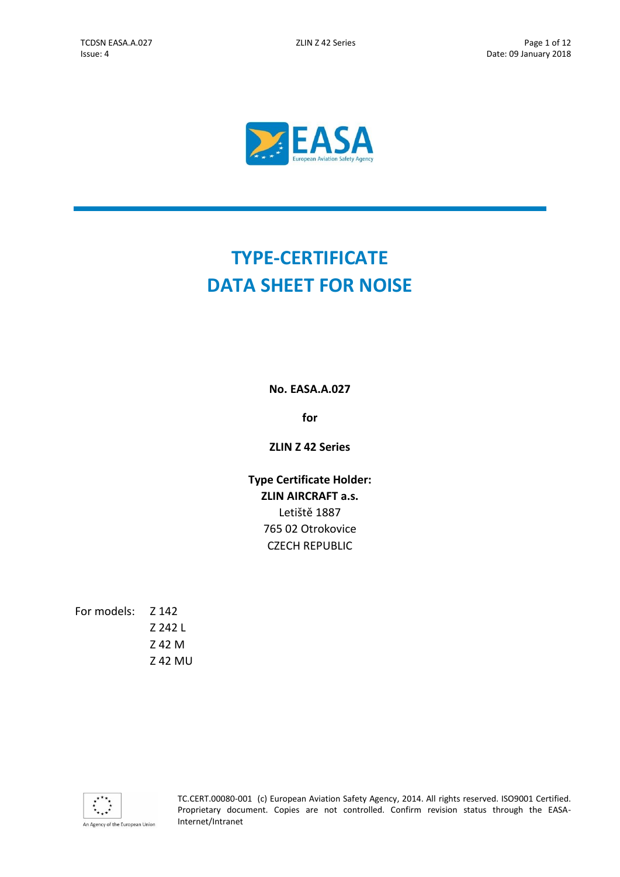

# **TYPE-CERTIFICATE DATA SHEET FOR NOISE**

**No. EASA.A.027**

**for**

**ZLIN Z 42 Series**

**Type Certificate Holder: ZLIN AIRCRAFT a.s.** Letiště 1887 765 02 Otrokovice CZECH REPUBLIC

For models: Z 142 Z 242 L Z 42 M Z 42 MU

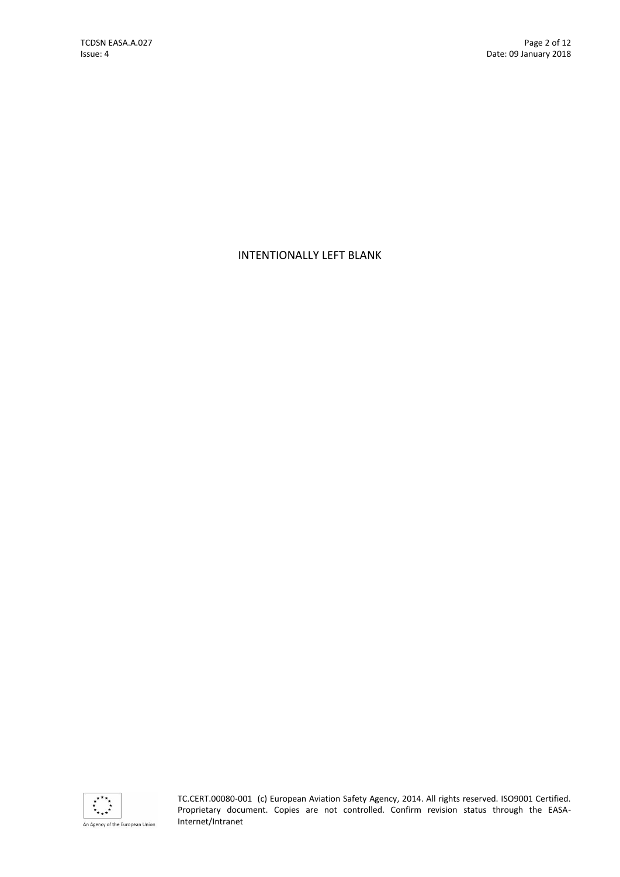## INTENTIONALLY LEFT BLANK

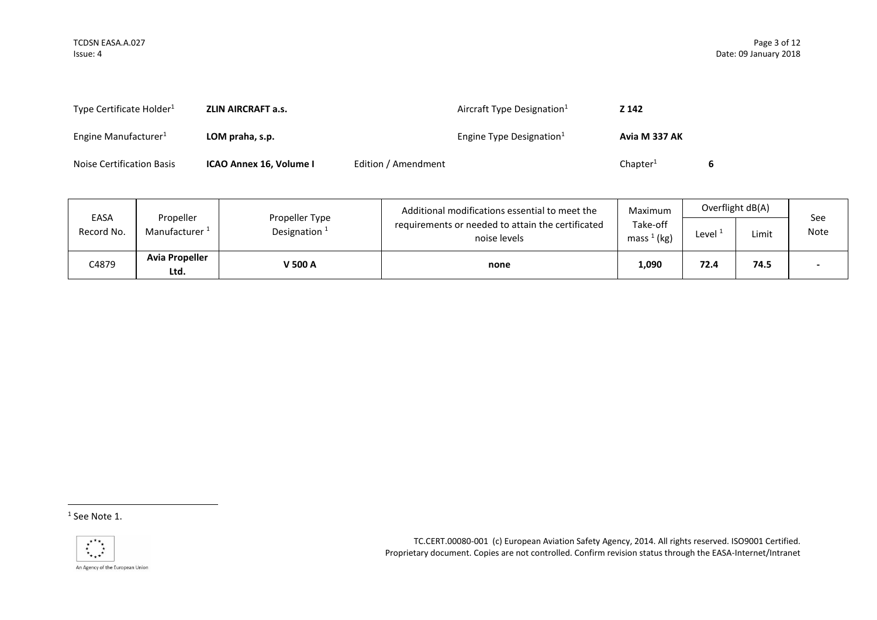| Type Certificate Holder <sup>1</sup> | <b>ZLIN AIRCRAFT a.s.</b> |                     | Aircraft Type Designation <sup>1</sup> | Z 142         |  |
|--------------------------------------|---------------------------|---------------------|----------------------------------------|---------------|--|
| Engine Manufacturer <sup>1</sup>     | LOM praha, s.p.           |                     | Engine Type Designation <sup>1</sup>   | Avia M 337 AK |  |
| Noise Certification Basis            | ICAO Annex 16, Volume I   | Edition / Amendment |                                        | Chapter $^1$  |  |

| Propeller<br>EASA |                               | Additional modifications essential to meet the | Maximum                                                           | Overflight dB(A)          |           |       |                    |
|-------------------|-------------------------------|------------------------------------------------|-------------------------------------------------------------------|---------------------------|-----------|-------|--------------------|
| Record No.        | Manufacturer <sup>1</sup>     | Propeller Type<br>Designation $1$              | requirements or needed to attain the certificated<br>noise levels | Take-off<br>mass $1$ (kg) | Level $1$ | Limit | See<br><b>Note</b> |
| C4879             | <b>Avia Propeller</b><br>Ltd. | <b>V 500 A</b>                                 | none                                                              | 1,090                     | 72.4      | 74.5  |                    |

1

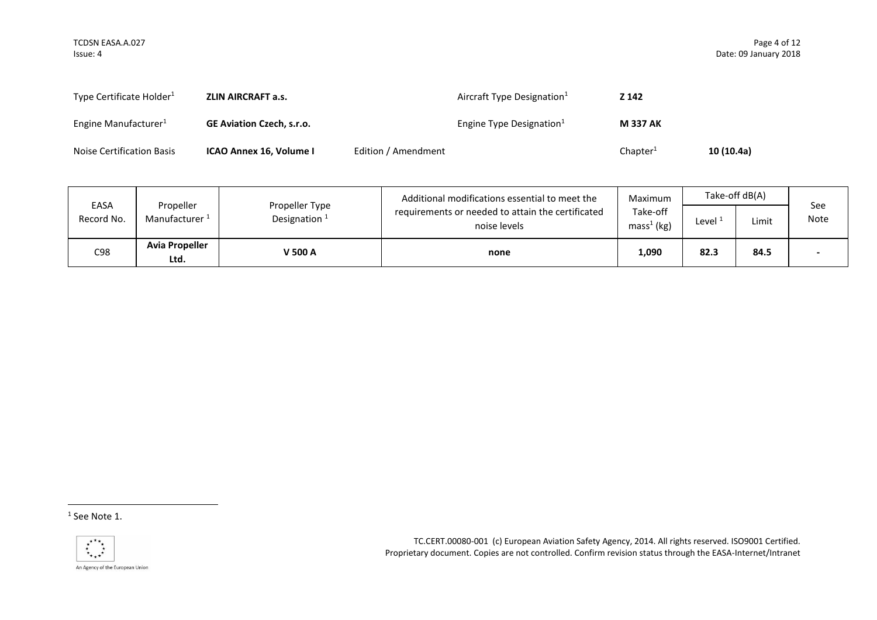| Type Certificate Holder <sup>1</sup> | <b>ZLIN AIRCRAFT a.s.</b>        |                     | Aircraft Type Designation <sup>1</sup> | Z 142                |            |
|--------------------------------------|----------------------------------|---------------------|----------------------------------------|----------------------|------------|
| Engine Manufacturer <sup>1</sup>     | <b>GE Aviation Czech, s.r.o.</b> |                     | Engine Type Designation <sup>1</sup>   | <b>M 337 AK</b>      |            |
| Noise Certification Basis            | ICAO Annex 16, Volume I          | Edition / Amendment |                                        | Chapter <sup>1</sup> | 10 (10.4a) |

|                    |                                        |                                   | Additional modifications essential to meet the                    | Maximum                  |       | Take-off dB(A) |                    |
|--------------------|----------------------------------------|-----------------------------------|-------------------------------------------------------------------|--------------------------|-------|----------------|--------------------|
| EASA<br>Record No. | Propeller<br>Manufacturer <sup>1</sup> | Propeller Type<br>Designation $1$ | requirements or needed to attain the certificated<br>noise levels | Take-off<br>$mass1$ (kg) | Level | Limit          | See<br><b>Note</b> |
| C <sub>98</sub>    | Avia Propeller<br>Ltd.                 | <b>V 500 A</b>                    | none                                                              | 1,090                    | 82.3  | 84.5           |                    |

1



TC.CERT.00080-001 (c) European Aviation Safety Agency, 2014. All rights reserved. ISO9001 Certified. Proprietary document. Copies are not controlled. Confirm revision status through the EASA-Internet/Intranet

An Agency of the European Union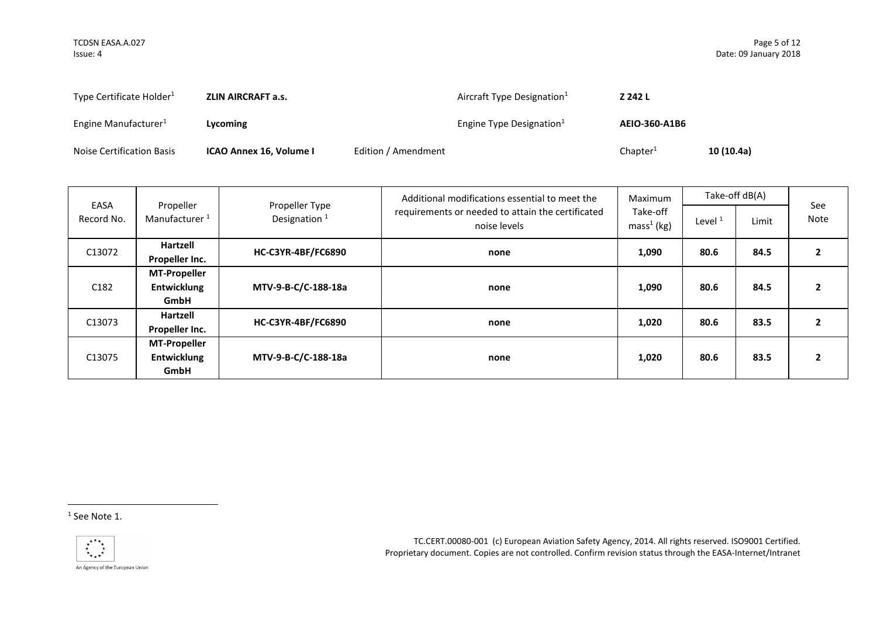| Type Certificate Holder <sup>1</sup> | <b>ZLIN AIRCRAFT a.s.</b> |                     | Aircraft Type Designation <sup>1</sup> | Z 242 L              |            |
|--------------------------------------|---------------------------|---------------------|----------------------------------------|----------------------|------------|
| Engine Manufacturer <sup>1</sup>     | Lycoming                  |                     | Engine Type Designation $1$            | AEIO-360-A1B6        |            |
| Noise Certification Basis            | ICAO Annex 16, Volume I   | Edition / Amendment |                                        | Chapter <sup>1</sup> | 10 (10.4a) |

| EASA<br>Propeller |                           |                                            | Additional modifications essential to meet the                    | Maximum                  | Take-off dB(A) |       | See            |
|-------------------|---------------------------|--------------------------------------------|-------------------------------------------------------------------|--------------------------|----------------|-------|----------------|
| Record No.        | Manufacturer <sup>1</sup> | Propeller Type<br>Designation <sup>1</sup> | requirements or needed to attain the certificated<br>noise levels | Take-off<br>$mass1$ (kg) | Level $1$      | Limit | Note           |
| C13072            | Hartzell                  | <b>HC-C3YR-4BF/FC6890</b>                  | none                                                              | 1,090                    | 80.6           | 84.5  | $\overline{2}$ |
|                   | Propeller Inc.            |                                            |                                                                   |                          |                |       |                |
|                   | <b>MT-Propeller</b>       |                                            |                                                                   |                          |                |       |                |
| C <sub>182</sub>  | Entwicklung               | MTV-9-B-C/C-188-18a                        | none                                                              | 1,090                    | 80.6           | 84.5  | $\overline{2}$ |
|                   | GmbH                      |                                            |                                                                   |                          |                |       |                |
| C13073            | Hartzell                  |                                            |                                                                   |                          |                | 83.5  | $\overline{2}$ |
|                   | Propeller Inc.            | <b>HC-C3YR-4BF/FC6890</b>                  | none                                                              | 1,020                    | 80.6           |       |                |
|                   | <b>MT-Propeller</b>       |                                            |                                                                   |                          |                |       |                |
| C13075            | Entwicklung               | MTV-9-B-C/C-188-18a                        | none                                                              | 1,020                    | 80.6           | 83.5  | $\overline{2}$ |
|                   | GmbH                      |                                            |                                                                   |                          |                |       |                |

1

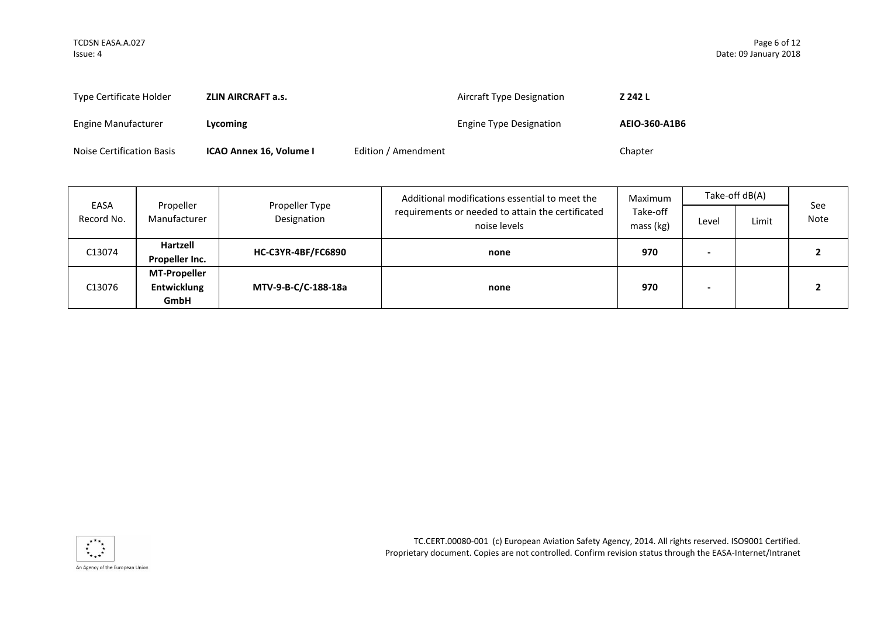| Type Certificate Holder    | <b>ZLIN AIRCRAFT a.s.</b> |                     | Aircraft Type Designation | Z 242 L              |
|----------------------------|---------------------------|---------------------|---------------------------|----------------------|
| <b>Engine Manufacturer</b> | Lycoming                  |                     | Engine Type Designation   | <b>AEIO-360-A1B6</b> |
| Noise Certification Basis  | ICAO Annex 16, Volume I   | Edition / Amendment |                           | Chapter              |

| EASA<br>Propeller                    |                     |                               | Additional modifications essential to meet the                    | Maximum               | Take-off dB(A) |          | See  |
|--------------------------------------|---------------------|-------------------------------|-------------------------------------------------------------------|-----------------------|----------------|----------|------|
| Record No.                           | Manufacturer        | Propeller Type<br>Designation | requirements or needed to attain the certificated<br>noise levels | Take-off<br>mass (kg) | Level          | Limit    | Note |
| Hartzell<br>C13074<br>Propeller Inc. |                     | <b>HC-C3YR-4BF/FC6890</b>     |                                                                   | 970                   |                |          |      |
|                                      |                     | none                          |                                                                   |                       |                | <b>L</b> |      |
|                                      | <b>MT-Propeller</b> |                               |                                                                   |                       |                |          |      |
| C13076                               | <b>Entwicklung</b>  | MTV-9-B-C/C-188-18a           | none                                                              | 970                   |                |          |      |
|                                      | GmbH                |                               |                                                                   |                       |                |          |      |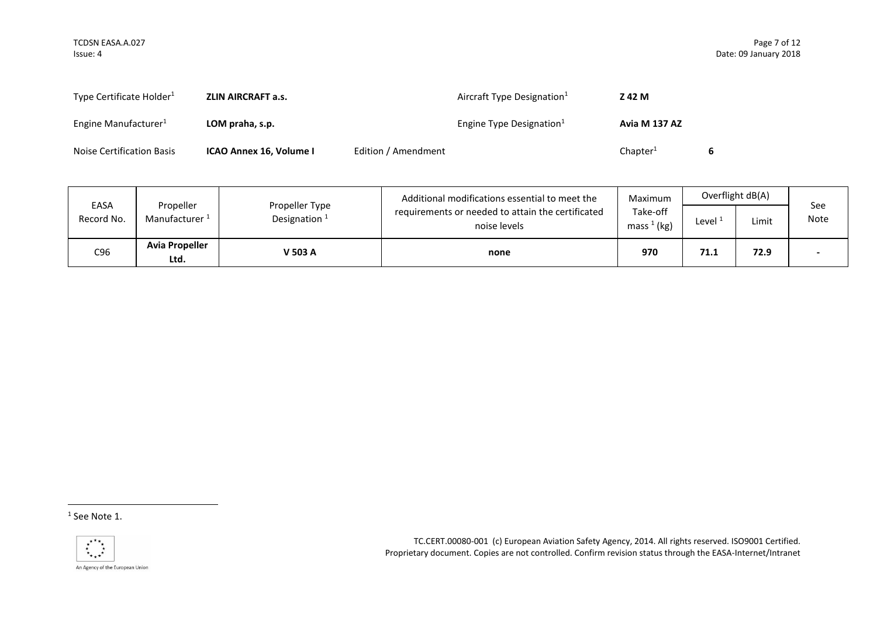| Type Certificate Holder <sup>1</sup> | <b>ZLIN AIRCRAFT a.s.</b> |                     | Aircraft Type Designation <sup>1</sup> | Z 42 M               |   |
|--------------------------------------|---------------------------|---------------------|----------------------------------------|----------------------|---|
| Engine Manufacturer <sup>1</sup>     | LOM praha, s.p.           |                     | Engine Type Designation $1$            | Avia M 137 AZ        |   |
| Noise Certification Basis            | ICAO Annex 16, Volume I   | Edition / Amendment |                                        | Chapter <sup>1</sup> | 6 |

| EASA       |                                        | Additional modifications essential to meet the | Maximum                                                           | Overflight dB(A)             |                    |       |                          |
|------------|----------------------------------------|------------------------------------------------|-------------------------------------------------------------------|------------------------------|--------------------|-------|--------------------------|
| Record No. | Propeller<br>Manufacturer <sup>1</sup> | Propeller Type<br>Designation $1$              | requirements or needed to attain the certificated<br>noise levels | Take-off<br>$1$ (kg)<br>mass | Level <sup>:</sup> | Limit | See<br>Note              |
| C96        | <b>Avia Propeller</b><br>Ltd.          | <b>V 503 A</b>                                 | none                                                              | 970                          | 71.1               | 72.9  | $\overline{\phantom{a}}$ |

1



TC.CERT.00080-001 (c) European Aviation Safety Agency, 2014. All rights reserved. ISO9001 Certified. Proprietary document. Copies are not controlled. Confirm revision status through the EASA-Internet/Intranet

An Agency of the European Union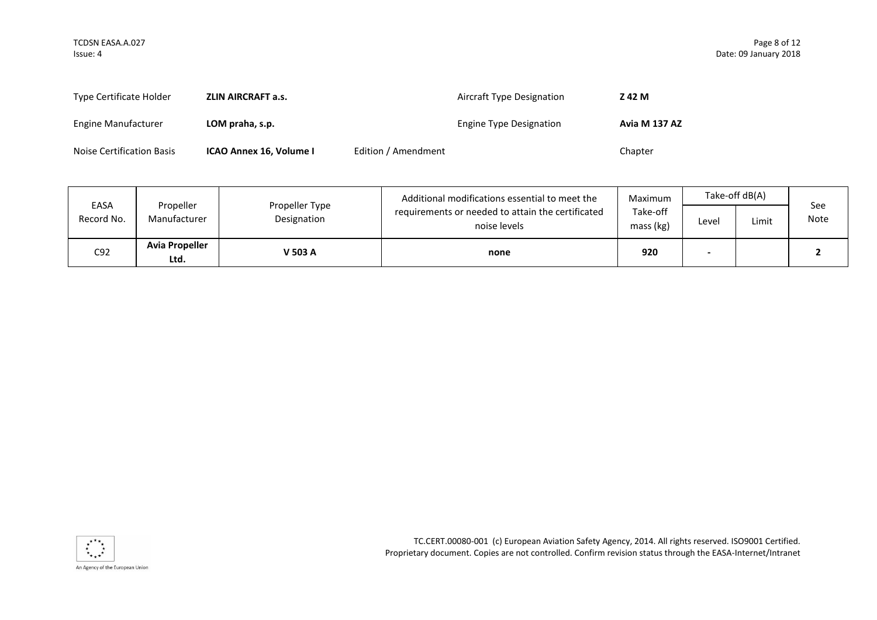| Type Certificate Holder    | <b>ZLIN AIRCRAFT a.s.</b> |                     | Aircraft Type Designation      | Z 42 M        |
|----------------------------|---------------------------|---------------------|--------------------------------|---------------|
| <b>Engine Manufacturer</b> | LOM praha, s.p.           |                     | <b>Engine Type Designation</b> | Avia M 137 AZ |
| Noise Certification Basis  | ICAO Annex 16, Volume I   | Edition / Amendment |                                | Chapter       |

|                    |                               |                               | Additional modifications essential to meet the                    | Maximum               |       | Take-off dB(A) |             |
|--------------------|-------------------------------|-------------------------------|-------------------------------------------------------------------|-----------------------|-------|----------------|-------------|
| EASA<br>Record No. | Propeller<br>Manufacturer     | Propeller Type<br>Designation | requirements or needed to attain the certificated<br>noise levels | Take-off<br>mass (kg) | Level | Limit          | See<br>Note |
| C92                | <b>Avia Propeller</b><br>Ltd. | <b>V 503 A</b>                | none                                                              | 920                   |       |                |             |

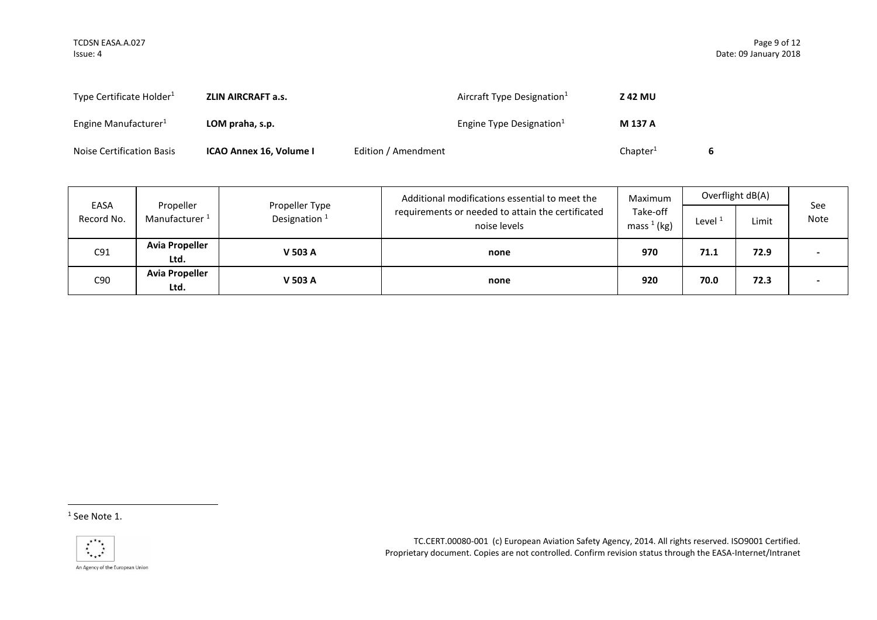| Type Certificate Holder <sup>1</sup> | <b>ZLIN AIRCRAFT a.s.</b> |                     | Aircraft Type Designation <sup>1</sup> | <b>Z 42 MU</b>       |  |
|--------------------------------------|---------------------------|---------------------|----------------------------------------|----------------------|--|
| Engine Manufacturer <sup>1</sup>     | LOM praha, s.p.           |                     | Engine Type Designation <sup>1</sup>   | M 137 A              |  |
| Noise Certification Basis            | ICAO Annex 16, Volume I   | Edition / Amendment |                                        | Chapter <sup>1</sup> |  |

|                 | EASA<br>Propeller<br>Propeller Type<br>Designation <sup>1</sup><br>Manufacturer <sup>1</sup><br>Record No. |                                                                   | Additional modifications essential to meet the | Maximum | Overflight dB(A) |      | See<br>Note |
|-----------------|------------------------------------------------------------------------------------------------------------|-------------------------------------------------------------------|------------------------------------------------|---------|------------------|------|-------------|
|                 |                                                                                                            | requirements or needed to attain the certificated<br>noise levels | Take-off<br>mass $1$ (kg)                      | Level   | Limit            |      |             |
| C91             | <b>Avia Propeller</b><br>Ltd.                                                                              | V 503 A                                                           | none                                           | 970     | 71.1             | 72.9 |             |
| C <sub>90</sub> | <b>Avia Propeller</b><br>Ltd.                                                                              | V 503 A                                                           | none                                           | 920     | 70.0             | 72.3 | -           |

1

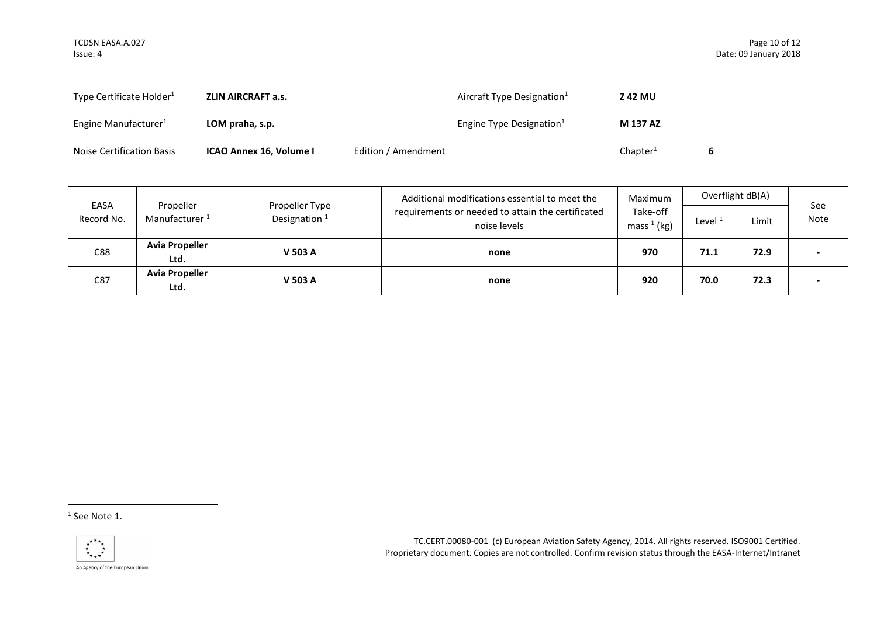| Type Certificate Holder <sup>1</sup> | <b>ZLIN AIRCRAFT a.s.</b> |                     | Aircraft Type Designation <sup>1</sup> | <b>Z 42 MU</b>       |  |
|--------------------------------------|---------------------------|---------------------|----------------------------------------|----------------------|--|
| Engine Manufacturer <sup>1</sup>     | LOM praha, s.p.           |                     | Engine Type Designation $1$            | M 137 AZ             |  |
| Noise Certification Basis            | ICAO Annex 16, Volume I   | Edition / Amendment |                                        | Chapter <sup>1</sup> |  |

|            | EASA<br>Propeller<br>Propeller Type<br>Designation <sup>1</sup><br>Manufacturer <sup>1</sup> | Additional modifications essential to meet the                    | Maximum<br>Take-off<br>mass $1$ (kg) | Overflight dB(A) |       |             |   |
|------------|----------------------------------------------------------------------------------------------|-------------------------------------------------------------------|--------------------------------------|------------------|-------|-------------|---|
| Record No. |                                                                                              | requirements or needed to attain the certificated<br>noise levels |                                      | Level            | Limit | See<br>Note |   |
| C88        | <b>Avia Propeller</b><br>Ltd.                                                                | V 503 A                                                           | none                                 | 970              | 71.1  | 72.9        |   |
| C87        | <b>Avia Propeller</b><br>Ltd.                                                                | V 503 A                                                           | none                                 | 920              | 70.0  | 72.3        | - |

1

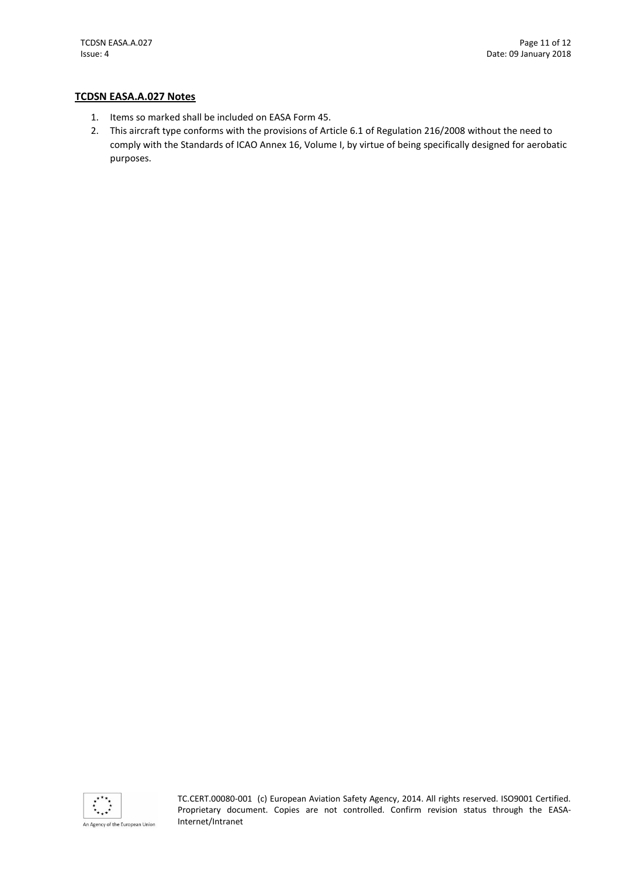### **TCDSN EASA.A.027 Notes**

- 1. Items so marked shall be included on EASA Form 45.
- 2. This aircraft type conforms with the provisions of Article 6.1 of Regulation 216/2008 without the need to comply with the Standards of ICAO Annex 16, Volume I, by virtue of being specifically designed for aerobatic purposes.